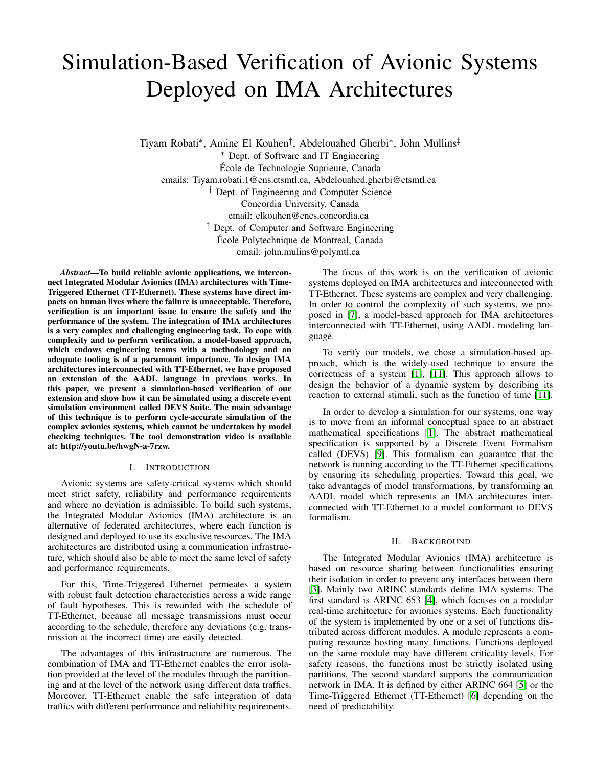# Simulation-Based Verification of Avionic Systems Deployed on IMA Architectures

Tiyam Robati<sup>∗</sup> , Amine El Kouhen† , Abdelouahed Gherbi<sup>∗</sup> , John Mullins‡ <sup>∗</sup> Dept. of Software and IT Engineering Ecole de Technologie Suprieure, Canada ´ emails: Tiyam.robati.1@ens.etsmtl.ca, Abdelouahed.gherbi@etsmtl.ca † Dept. of Engineering and Computer Science Concordia University, Canada email: elkouhen@encs.concordia.ca ‡ Dept. of Computer and Software Engineering Ecole Polytechnique de Montreal, Canada ´ email: john.mulins@polymtl.ca

*Abstract*—To build reliable avionic applications, we interconnect Integrated Modular Avionics (IMA) architectures with Time-Triggered Ethernet (TT-Ethernet). These systems have direct impacts on human lives where the failure is unacceptable. Therefore, verification is an important issue to ensure the safety and the performance of the system. The integration of IMA architectures is a very complex and challenging engineering task. To cope with complexity and to perform verification, a model-based approach, which endows engineering teams with a methodology and an adequate tooling is of a paramount importance. To design IMA architectures interconnected with TT-Ethernet, we have proposed an extension of the AADL language in previous works. In this paper, we present a simulation-based verification of our extension and show how it can be simulated using a discrete event simulation environment called DEVS Suite. The main advantage of this technique is to perform cycle-accurate simulation of the complex avionics systems, which cannot be undertaken by model checking techniques. The tool demonstration video is available at: http://youtu.be/hwgN-a-7rzw.

## I. INTRODUCTION

Avionic systems are safety-critical systems which should meet strict safety, reliability and performance requirements and where no deviation is admissible. To build such systems, the Integrated Modular Avionics (IMA) architecture is an alternative of federated architectures, where each function is designed and deployed to use its exclusive resources. The IMA architectures are distributed using a communication infrastructure, which should also be able to meet the same level of safety and performance requirements.

For this, Time-Triggered Ethernet permeates a system with robust fault detection characteristics across a wide range of fault hypotheses. This is rewarded with the schedule of TT-Ethernet, because all message transmissions must occur according to the schedule, therefore any deviations (e.g. transmission at the incorrect time) are easily detected.

The advantages of this infrastructure are numerous. The combination of IMA and TT-Ethernet enables the error isolation provided at the level of the modules through the partitioning and at the level of the network using different data traffics. Moreover, TT-Ethernet enable the safe integration of data traffics with different performance and reliability requirements.

The focus of this work is on the verification of avionic systems deployed on IMA architectures and inteconnected with TT-Ethernet. These systems are complex and very challenging. In order to control the complexity of such systems, we proposed in [\[7\]](#page-3-0), a model-based approach for IMA architectures interconnected with TT-Ethernet, using AADL modeling language.

To verify our models, we chose a simulation-based approach, which is the widely-used technique to ensure the correctness of a system [\[1\]](#page-3-1), [\[11\]](#page-3-2). This approach allows to design the behavior of a dynamic system by describing its reaction to external stimuli, such as the function of time [\[11\]](#page-3-2).

In order to develop a simulation for our systems, one way is to move from an informal conceptual space to an abstract mathematical specifications [\[1\]](#page-3-1). The abstract mathematical specification is supported by a Discrete Event Formalism called (DEVS) [\[9\]](#page-3-3). This formalism can guarantee that the network is running according to the TT-Ethernet specifications by ensuring its scheduling properties. Toward this goal, we take advantages of model transformations, by transforming an AADL model which represents an IMA architectures interconnected with TT-Ethernet to a model conformant to DEVS formalism.

### II. BACKGROUND

The Integrated Modular Avionics (IMA) architecture is based on resource sharing between functionalities ensuring their isolation in order to prevent any interfaces between them [\[3\]](#page-3-4). Mainly two ARINC standards define IMA systems. The first standard is ARINC 653 [\[4\]](#page-3-5), which focuses on a modular real-time architecture for avionics systems. Each functionality of the system is implemented by one or a set of functions distributed across different modules. A module represents a computing resource hosting many functions. Functions deployed on the same module may have different criticality levels. For safety reasons, the functions must be strictly isolated using partitions. The second standard supports the communication network in IMA. It is defined by either ARINC 664 [\[5\]](#page-3-6) or the Time-Triggered Ethernet (TT-Ethernet) [\[6\]](#page-3-7) depending on the need of predictability.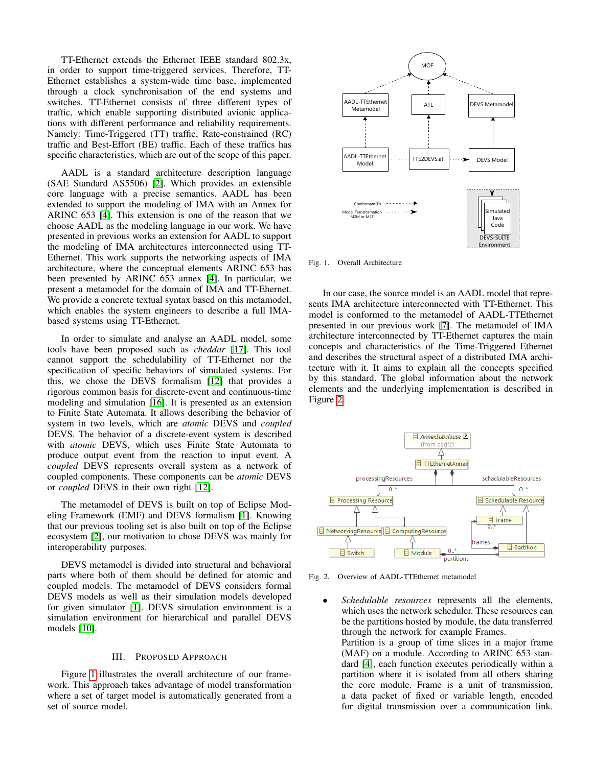TT-Ethernet extends the Ethernet IEEE standard 802.3x, in order to support time-triggered services. Therefore, TT-Ethernet establishes a system-wide time base, implemented through a clock synchronisation of the end systems and switches. TT-Ethernet consists of three different types of traffic, which enable supporting distributed avionic applications with different performance and reliability requirements. Namely: Time-Triggered (TT) traffic, Rate-constrained (RC) traffic and Best-Effort (BE) traffic. Each of these traffics has specific characteristics, which are out of the scope of this paper.

AADL is a standard architecture description language (SAE Standard AS5506) [\[2\]](#page-3-8). Which provides an extensible core language with a precise semantics. AADL has been extended to support the modeling of IMA with an Annex for ARINC 653 [\[4\]](#page-3-5). This extension is one of the reason that we choose AADL as the modeling language in our work. We have presented in previous works an extension for AADL to support the modeling of IMA architectures interconnected using TT-Ethernet. This work supports the networking aspects of IMA architecture, where the conceptual elements ARINC 653 has been presented by ARINC 653 annex [\[4\]](#page-3-5). In particular, we present a metamodel for the domain of IMA and TT-Ehernet. We provide a concrete textual syntax based on this metamodel, which enables the system engineers to describe a full IMAbased systems using TT-Ethernet.

In order to simulate and analyse an AADL model, some tools have been proposed such as *cheddar* [\[17\]](#page-3-9). This tool cannot support the schedulability of TT-Ethernet nor the specification of specific behaviors of simulated systems. For this, we chose the DEVS formalism [\[12\]](#page-3-10) that provides a rigorous common basis for discrete-event and continuous-time modeling and simulation [\[16\]](#page-3-11). It is presented as an extension to Finite State Automata. It allows describing the behavior of system in two levels, which are *atomic* DEVS and *coupled* DEVS. The behavior of a discrete-event system is described with *atomic* DEVS, which uses Finite State Automata to produce output event from the reaction to input event. A *coupled* DEVS represents overall system as a network of coupled components. These components can be *atomic* DEVS or *coupled* DEVS in their own right [\[12\]](#page-3-10).

The metamodel of DEVS is built on top of Eclipse Modeling Framework (EMF) and DEVS formalism [\[1\]](#page-3-1). Knowing that our previous tooling set is also built on top of the Eclipse ecosystem [\[2\]](#page-3-8), our motivation to chose DEVS was mainly for interoperability purposes.

DEVS metamodel is divided into structural and behavioral parts where both of them should be defined for atomic and coupled models. The metamodel of DEVS considers formal DEVS models as well as their simulation models developed for given simulator [\[1\]](#page-3-1). DEVS simulation environment is a simulation environment for hierarchical and parallel DEVS models [\[10\]](#page-3-12).

#### III. PROPOSED APPROACH

Figure [1](#page-1-0) illustrates the overall architecture of our framework. This approach takes advantage of model transformation where a set of target model is automatically generated from a set of source model.



<span id="page-1-0"></span>Fig. 1. Overall Architecture

In our case, the source model is an AADL model that represents IMA architecture interconnected with TT-Ethernet. This model is conformed to the metamodel of AADL-TTEthernet presented in our previous work [\[7\]](#page-3-0). The metamodel of IMA architecture interconnected by TT-Ethernet captures the main concepts and characteristics of the Time-Triggered Ethernet and describes the structural aspect of a distributed IMA architecture with it. It aims to explain all the concepts specified by this standard. The global information about the network elements and the underlying implementation is described in Figure [2.](#page-1-1)



Fig. 2. Overview of AADL-TTEthernet metamodel

<span id="page-1-1"></span>• *Schedulable resources* represents all the elements, which uses the network scheduler. These resources can be the partitions hosted by module, the data transferred through the network for example Frames. Partition is a group of time slices in a major frame (MAF) on a module. According to ARINC 653 standard [\[4\]](#page-3-5), each function executes periodically within a

partition where it is isolated from all others sharing the core module. Frame is a unit of transmission, a data packet of fixed or variable length, encoded for digital transmission over a communication link.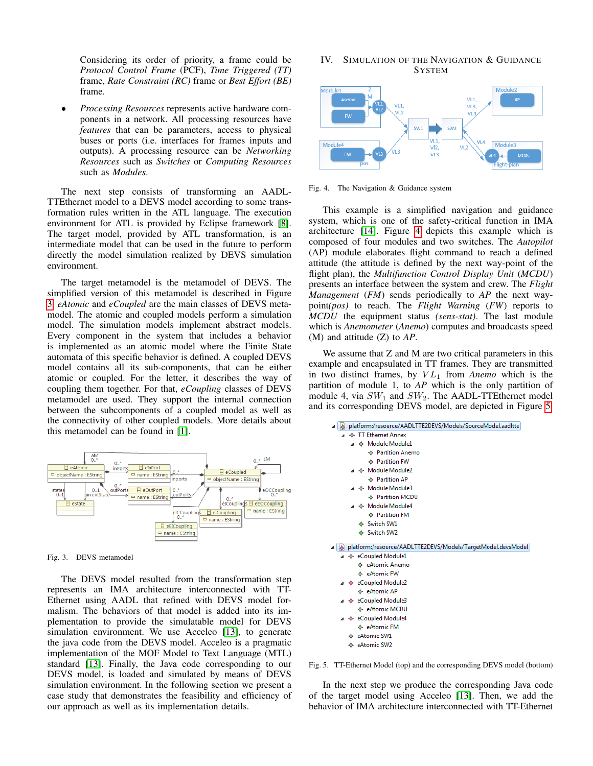Considering its order of priority, a frame could be *Protocol Control Frame* (PCF), *Time Triggered (TT)* frame, *Rate Constraint (RC)* frame or *Best Effort (BE)* frame.

• *Processing Resources* represents active hardware components in a network. All processing resources have *features* that can be parameters, access to physical buses or ports (i.e. interfaces for frames inputs and outputs). A processing resource can be *Networking Resources* such as *Switches* or *Computing Resources* such as *Modules*.

The next step consists of transforming an AADL-TTEthernet model to a DEVS model according to some transformation rules written in the ATL language. The execution environment for ATL is provided by Eclipse framework [\[8\]](#page-3-13). The target model, provided by ATL transformation, is an intermediate model that can be used in the future to perform directly the model simulation realized by DEVS simulation environment.

The target metamodel is the metamodel of DEVS. The simplified version of this metamodel is described in Figure [3.](#page-2-0) *eAtomic* and *eCoupled* are the main classes of DEVS metamodel. The atomic and coupled models perform a simulation model. The simulation models implement abstract models. Every component in the system that includes a behavior is implemented as an atomic model where the Finite State automata of this specific behavior is defined. A coupled DEVS model contains all its sub-components, that can be either atomic or coupled. For the letter, it describes the way of coupling them together. For that, *eCoupling* classes of DEVS metamodel are used. They support the internal connection between the subcomponents of a coupled model as well as the connectivity of other coupled models. More details about this metamodel can be found in [\[1\]](#page-3-1).



<span id="page-2-0"></span>Fig. 3. DEVS metamodel

The DEVS model resulted from the transformation step represents an IMA architecture interconnected with TT-Ethernet using AADL that refined with DEVS model formalism. The behaviors of that model is added into its implementation to provide the simulatable model for DEVS simulation environment. We use Acceleo [\[13\]](#page-3-14), to generate the java code from the DEVS model. Acceleo is a pragmatic implementation of the MOF Model to Text Language (MTL) standard [\[13\]](#page-3-14). Finally, the Java code corresponding to our DEVS model, is loaded and simulated by means of DEVS simulation environment. In the following section we present a case study that demonstrates the feasibility and efficiency of our approach as well as its implementation details.

## IV. SIMULATION OF THE NAVIGATION & GUIDANCE SYSTEM



<span id="page-2-1"></span>Fig. 4. The Navigation & Guidance system

This example is a simplified navigation and guidance system, which is one of the safety-critical function in IMA architecture [\[14\]](#page-3-15). Figure [4](#page-2-1) depicts this example which is composed of four modules and two switches. The *Autopilot* (AP) module elaborates flight command to reach a defined attitude (the attitude is defined by the next way-point of the flight plan), the *Multifunction Control Display Unit* (*MCDU*) presents an interface between the system and crew. The *Flight Management* (*FM*) sends periodically to *AP* the next waypoint*(pos)* to reach. The *Flight Warning* (*FW*) reports to *MCDU* the equipment status *(sens-stat)*. The last module which is *Anemometer* (*Anemo*) computes and broadcasts speed (M) and attitude (Z) to *AP*.

We assume that Z and M are two critical parameters in this example and encapsulated in TT frames. They are transmitted in two distinct frames, by  $VL_1$  from *Anemo* which is the partition of module 1, to *AP* which is the only partition of module 4, via  $SW_1$  and  $SW_2$ . The AADL-TTEthernet model and its corresponding DEVS model, are depicted in Figure [5.](#page-2-2)

| Ю |    | platform:/resource/AADLTTE2DEVS/Models/SourceModel.aadltte   |
|---|----|--------------------------------------------------------------|
|   |    | ← TT Ethernet Annex                                          |
|   |    | ⊿ → Module Module1                                           |
|   |    | ← Partition Anemo                                            |
|   |    | $\Leftrightarrow$ Partition FW                               |
|   |    |                                                              |
|   |    | ← Partition AP                                               |
|   |    | ⊿ → Module Module3                                           |
|   |    | ← Partition MCDU                                             |
|   |    | ⊿ → Module Module4                                           |
|   |    | $\triangle$ Partition FM                                     |
|   |    | ♦ Switch SW1                                                 |
|   |    | ♦ Switch SW2                                                 |
|   |    | platform:/resource/AADLTTE2DEVS/Models/TargetModel.devsModel |
|   |    | ▲ ← eCoupled Module1                                         |
|   |    | → eAtomic Anemo                                              |
|   |    | ← eAtomic FW                                                 |
|   |    | ⊿ ◆ eCoupled Module2                                         |
|   |    | ← eAtomic AP                                                 |
|   |    | ⊿ ◆ eCoupled Module3                                         |
|   |    | ← eAtomic MCDU                                               |
|   |    |                                                              |
|   |    | ⊿ ◆ eCoupled Module4                                         |
|   |    | ← eAtomic FM                                                 |
|   |    | ← eAtomic SW1                                                |
|   | 45 |                                                              |

<span id="page-2-2"></span>Fig. 5. TT-Ethernet Model (top) and the corresponding DEVS model (bottom)

In the next step we produce the corresponding Java code of the target model using Acceleo [\[13\]](#page-3-14). Then, we add the behavior of IMA architecture interconnected with TT-Ethernet